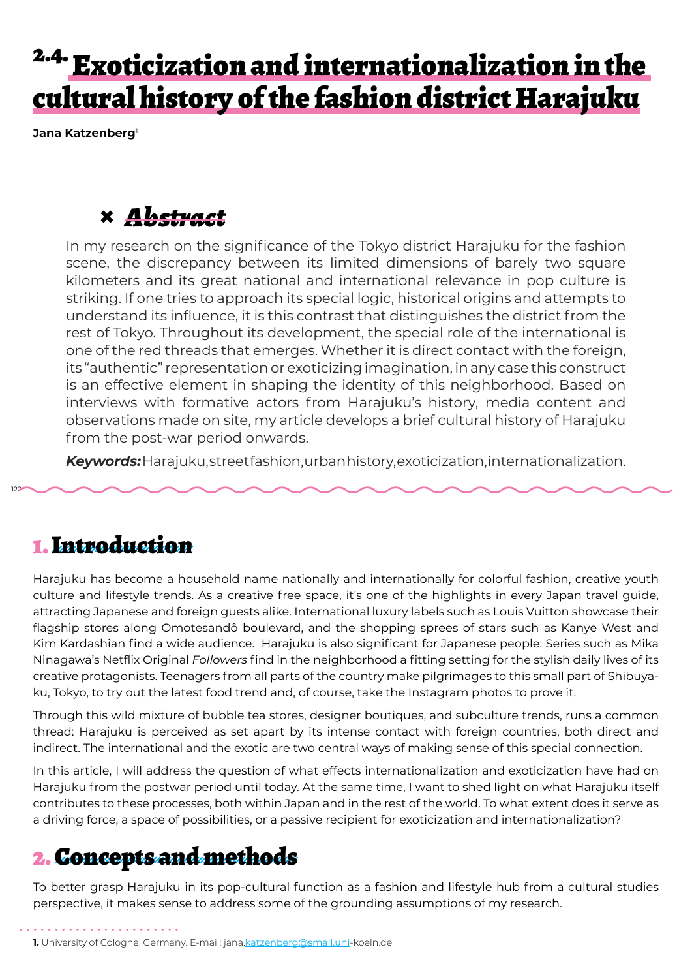# <sup>2.4.</sup> Exoticization and internationalization in the cultural history of the fashion district Harajuku

**Jana Katzenberg**<sup>1</sup>

# **×** *Abstract*

In my research on the significance of the Tokyo district Harajuku for the fashion scene, the discrepancy between its limited dimensions of barely two square kilometers and its great national and international relevance in pop culture is striking. If one tries to approach its special logic, historical origins and attempts to understand its influence, it is this contrast that distinguishes the district from the rest of Tokyo. Throughout its development, the special role of the international is one of the red threads that emerges. Whether it is direct contact with the foreign, its "authentic" representation or exoticizing imagination, in any case this construct is an effective element in shaping the identity of this neighborhood. Based on interviews with formative actors from Harajuku's history, media content and observations made on site, my article develops a brief cultural history of Harajuku from the post-war period onwards.

*Keywords:* Harajuku, street fashion, urban history, exoticization, internationalization.

### 1. Introduction

122

Harajuku has become a household name nationally and internationally for colorful fashion, creative youth culture and lifestyle trends. As a creative free space, it's one of the highlights in every Japan travel guide, attracting Japanese and foreign guests alike. International luxury labels such as Louis Vuitton showcase their flagship stores along Omotesandô boulevard, and the shopping sprees of stars such as Kanye West and Kim Kardashian find a wide audience. Harajuku is also significant for Japanese people: Series such as Mika Ninagawa's Netflix Original *Followers* find in the neighborhood a fitting setting for the stylish daily lives of its creative protagonists. Teenagers from all parts of the country make pilgrimages to this small part of Shibuyaku, Tokyo, to try out the latest food trend and, of course, take the Instagram photos to prove it.

Through this wild mixture of bubble tea stores, designer boutiques, and subculture trends, runs a common thread: Harajuku is perceived as set apart by its intense contact with foreign countries, both direct and indirect. The international and the exotic are two central ways of making sense of this special connection.

In this article, I will address the question of what effects internationalization and exoticization have had on Harajuku from the postwar period until today. At the same time, I want to shed light on what Harajuku itself contributes to these processes, both within Japan and in the rest of the world. To what extent does it serve as a driving force, a space of possibilities, or a passive recipient for exoticization and internationalization?

# 2. Concepts and methods

To better grasp Harajuku in its pop-cultural function as a fashion and lifestyle hub from a cultural studies perspective, it makes sense to address some of the grounding assumptions of my research.

1. University of Cologne, Germany. E-mail: jana.katzenberg@smail.uni-koeln.de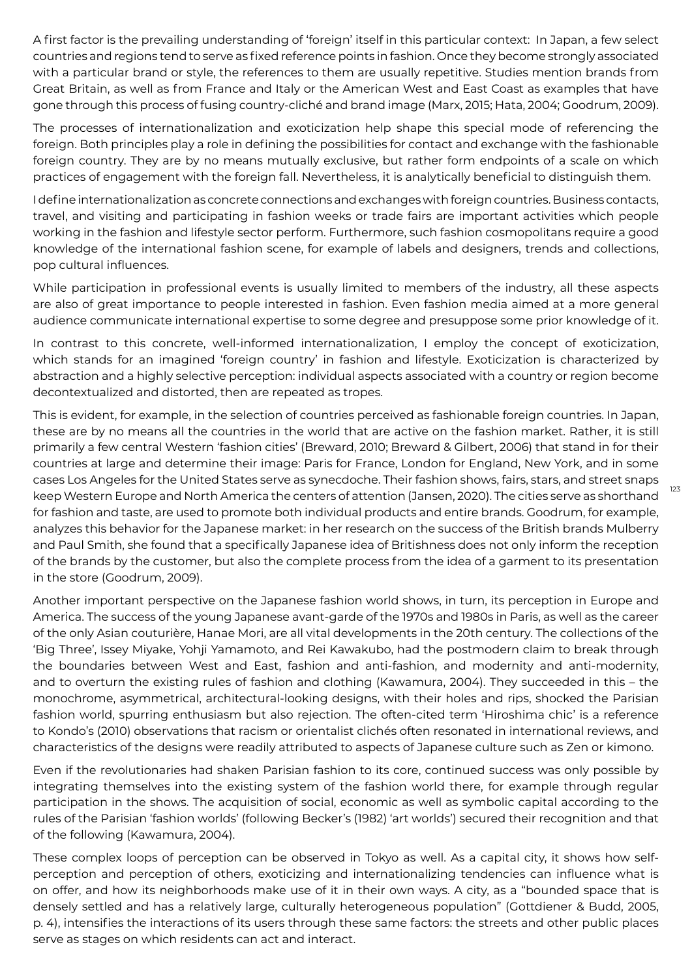A first factor is the prevailing understanding of 'foreign' itself in this particular context: In Japan, a few select countries and regions tend to serve as fixed reference points in fashion. Once they become strongly associated with a particular brand or style, the references to them are usually repetitive. Studies mention brands from Great Britain, as well as from France and Italy or the American West and East Coast as examples that have gone through this process of fusing country-cliché and brand image (Marx, 2015; Hata, 2004; Goodrum, 2009).

The processes of internationalization and exoticization help shape this special mode of referencing the foreign. Both principles play a role in defining the possibilities for contact and exchange with the fashionable foreign country. They are by no means mutually exclusive, but rather form endpoints of a scale on which practices of engagement with the foreign fall. Nevertheless, it is analytically beneficial to distinguish them.

I define internationalization as concrete connections and exchanges with foreign countries. Business contacts, travel, and visiting and participating in fashion weeks or trade fairs are important activities which people working in the fashion and lifestyle sector perform. Furthermore, such fashion cosmopolitans require a good knowledge of the international fashion scene, for example of labels and designers, trends and collections, pop cultural influences.

While participation in professional events is usually limited to members of the industry, all these aspects are also of great importance to people interested in fashion. Even fashion media aimed at a more general audience communicate international expertise to some degree and presuppose some prior knowledge of it.

In contrast to this concrete, well-informed internationalization, I employ the concept of exoticization, which stands for an imagined 'foreign country' in fashion and lifestyle. Exoticization is characterized by abstraction and a highly selective perception: individual aspects associated with a country or region become decontextualized and distorted, then are repeated as tropes.

This is evident, for example, in the selection of countries perceived as fashionable foreign countries. In Japan, these are by no means all the countries in the world that are active on the fashion market. Rather, it is still primarily a few central Western 'fashion cities' (Breward, 2010; Breward & Gilbert, 2006) that stand in for their countries at large and determine their image: Paris for France, London for England, New York, and in some cases Los Angeles for the United States serve as synecdoche. Their fashion shows, fairs, stars, and street snaps keep Western Europe and North America the centers of attention (Jansen, 2020). The cities serve as shorthand for fashion and taste, are used to promote both individual products and entire brands. Goodrum, for example, analyzes this behavior for the Japanese market: in her research on the success of the British brands Mulberry and Paul Smith, she found that a specifically Japanese idea of Britishness does not only inform the reception of the brands by the customer, but also the complete process from the idea of a garment to its presentation in the store (Goodrum, 2009).

Another important perspective on the Japanese fashion world shows, in turn, its perception in Europe and America. The success of the young Japanese avant-garde of the 1970s and 1980s in Paris, as well as the career of the only Asian couturière, Hanae Mori, are all vital developments in the 20th century. The collections of the 'Big Three', Issey Miyake, Yohji Yamamoto, and Rei Kawakubo, had the postmodern claim to break through the boundaries between West and East, fashion and anti-fashion, and modernity and anti-modernity, and to overturn the existing rules of fashion and clothing (Kawamura, 2004). They succeeded in this – the monochrome, asymmetrical, architectural-looking designs, with their holes and rips, shocked the Parisian fashion world, spurring enthusiasm but also rejection. The often-cited term 'Hiroshima chic' is a reference to Kondo's (2010) observations that racism or orientalist clichés often resonated in international reviews, and characteristics of the designs were readily attributed to aspects of Japanese culture such as Zen or kimono.

Even if the revolutionaries had shaken Parisian fashion to its core, continued success was only possible by integrating themselves into the existing system of the fashion world there, for example through regular participation in the shows. The acquisition of social, economic as well as symbolic capital according to the rules of the Parisian 'fashion worlds' (following Becker's (1982) 'art worlds') secured their recognition and that of the following (Kawamura, 2004).

These complex loops of perception can be observed in Tokyo as well. As a capital city, it shows how selfperception and perception of others, exoticizing and internationalizing tendencies can influence what is on offer, and how its neighborhoods make use of it in their own ways. A city, as a "bounded space that is densely settled and has a relatively large, culturally heterogeneous population" (Gottdiener & Budd, 2005, p. 4), intensifies the interactions of its users through these same factors: the streets and other public places serve as stages on which residents can act and interact.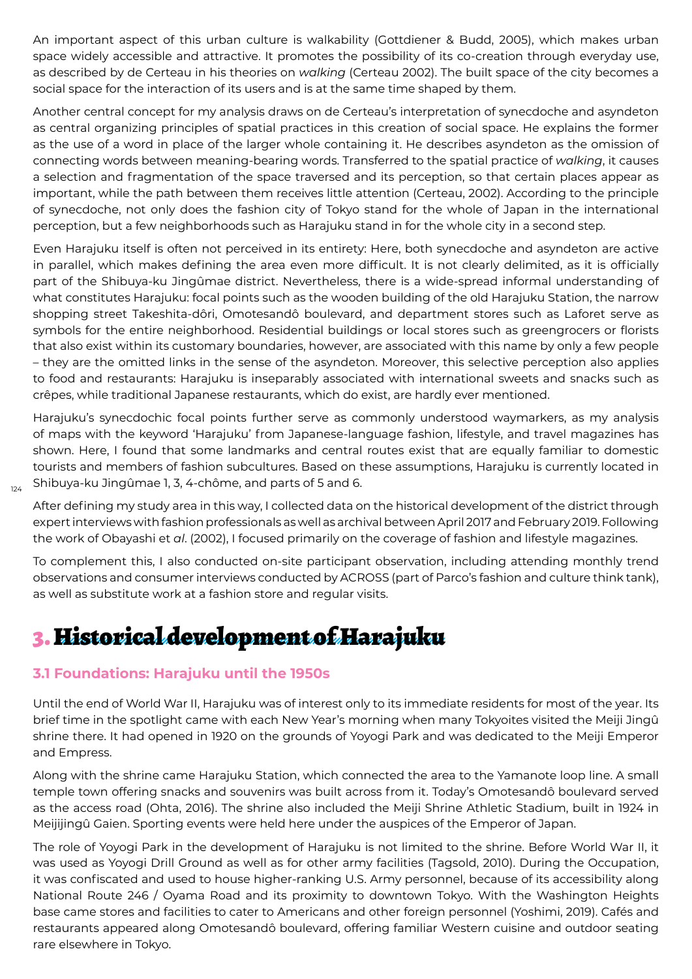An important aspect of this urban culture is walkability (Gottdiener & Budd, 2005), which makes urban space widely accessible and attractive. It promotes the possibility of its co-creation through everyday use, as described by de Certeau in his theories on *walking* (Certeau 2002). The built space of the city becomes a social space for the interaction of its users and is at the same time shaped by them.

Another central concept for my analysis draws on de Certeau's interpretation of synecdoche and asyndeton as central organizing principles of spatial practices in this creation of social space. He explains the former as the use of a word in place of the larger whole containing it. He describes asyndeton as the omission of connecting words between meaning-bearing words. Transferred to the spatial practice of *walking*, it causes a selection and fragmentation of the space traversed and its perception, so that certain places appear as important, while the path between them receives little attention (Certeau, 2002). According to the principle of synecdoche, not only does the fashion city of Tokyo stand for the whole of Japan in the international perception, but a few neighborhoods such as Harajuku stand in for the whole city in a second step.

Even Harajuku itself is often not perceived in its entirety: Here, both synecdoche and asyndeton are active in parallel, which makes defining the area even more difficult. It is not clearly delimited, as it is officially part of the Shibuya-ku Jingûmae district. Nevertheless, there is a wide-spread informal understanding of what constitutes Harajuku: focal points such as the wooden building of the old Harajuku Station, the narrow shopping street Takeshita-dôri, Omotesandô boulevard, and department stores such as Laforet serve as symbols for the entire neighborhood. Residential buildings or local stores such as greengrocers or florists that also exist within its customary boundaries, however, are associated with this name by only a few people – they are the omitted links in the sense of the asyndeton. Moreover, this selective perception also applies to food and restaurants: Harajuku is inseparably associated with international sweets and snacks such as crêpes, while traditional Japanese restaurants, which do exist, are hardly ever mentioned.

Harajuku's synecdochic focal points further serve as commonly understood waymarkers, as my analysis of maps with the keyword 'Harajuku' from Japanese-language fashion, lifestyle, and travel magazines has shown. Here, I found that some landmarks and central routes exist that are equally familiar to domestic tourists and members of fashion subcultures. Based on these assumptions, Harajuku is currently located in Shibuya-ku Jingûmae 1, 3, 4-chôme, and parts of 5 and 6.

After defining my study area in this way, I collected data on the historical development of the district through expert interviews with fashion professionals as well as archival between April 2017 and February 2019. Following the work of Obayashi et *al*. (2002), I focused primarily on the coverage of fashion and lifestyle magazines.

To complement this, I also conducted on-site participant observation, including attending monthly trend observations and consumer interviews conducted by ACROSS (part of Parco's fashion and culture think tank), as well as substitute work at a fashion store and regular visits.

# 3. Historical development of Harajuku

#### **3.1 Foundations: Harajuku until the 1950s**

Until the end of World War II, Harajuku was of interest only to its immediate residents for most of the year. Its brief time in the spotlight came with each New Year's morning when many Tokyoites visited the Meiji Jingû shrine there. It had opened in 1920 on the grounds of Yoyogi Park and was dedicated to the Meiji Emperor and Empress.

Along with the shrine came Harajuku Station, which connected the area to the Yamanote loop line. A small temple town offering snacks and souvenirs was built across from it. Today's Omotesandô boulevard served as the access road (Ohta, 2016). The shrine also included the Meiji Shrine Athletic Stadium, built in 1924 in Meijijingû Gaien. Sporting events were held here under the auspices of the Emperor of Japan.

The role of Yoyogi Park in the development of Harajuku is not limited to the shrine. Before World War II, it was used as Yoyogi Drill Ground as well as for other army facilities (Tagsold, 2010). During the Occupation, it was confiscated and used to house higher-ranking U.S. Army personnel, because of its accessibility along National Route 246 / Oyama Road and its proximity to downtown Tokyo. With the Washington Heights base came stores and facilities to cater to Americans and other foreign personnel (Yoshimi, 2019). Cafés and restaurants appeared along Omotesandô boulevard, offering familiar Western cuisine and outdoor seating rare elsewhere in Tokyo.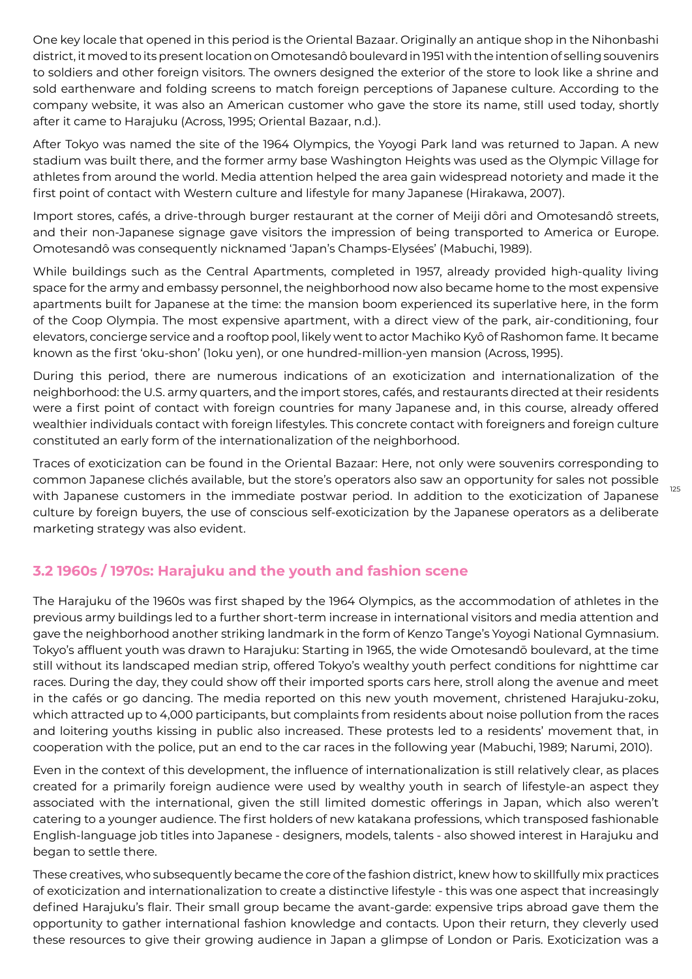One key locale that opened in this period is the Oriental Bazaar. Originally an antique shop in the Nihonbashi district, it moved to its present location on Omotesandô boulevard in 1951 with the intention of selling souvenirs to soldiers and other foreign visitors. The owners designed the exterior of the store to look like a shrine and sold earthenware and folding screens to match foreign perceptions of Japanese culture. According to the company website, it was also an American customer who gave the store its name, still used today, shortly after it came to Harajuku (Across, 1995; Oriental Bazaar, n.d.).

After Tokyo was named the site of the 1964 Olympics, the Yoyogi Park land was returned to Japan. A new stadium was built there, and the former army base Washington Heights was used as the Olympic Village for athletes from around the world. Media attention helped the area gain widespread notoriety and made it the first point of contact with Western culture and lifestyle for many Japanese (Hirakawa, 2007).

Import stores, cafés, a drive-through burger restaurant at the corner of Meiji dôri and Omotesandô streets, and their non-Japanese signage gave visitors the impression of being transported to America or Europe. Omotesandô was consequently nicknamed 'Japan's Champs-Elysées' (Mabuchi, 1989).

While buildings such as the Central Apartments, completed in 1957, already provided high-quality living space for the army and embassy personnel, the neighborhood now also became home to the most expensive apartments built for Japanese at the time: the mansion boom experienced its superlative here, in the form of the Coop Olympia. The most expensive apartment, with a direct view of the park, air-conditioning, four elevators, concierge service and a rooftop pool, likely went to actor Machiko Kyô of Rashomon fame. It became known as the first 'oku-shon' (1oku yen), or one hundred-million-yen mansion (Across, 1995).

During this period, there are numerous indications of an exoticization and internationalization of the neighborhood: the U.S. army quarters, and the import stores, cafés, and restaurants directed at their residents were a first point of contact with foreign countries for many Japanese and, in this course, already offered wealthier individuals contact with foreign lifestyles. This concrete contact with foreigners and foreign culture constituted an early form of the internationalization of the neighborhood.

Traces of exoticization can be found in the Oriental Bazaar: Here, not only were souvenirs corresponding to common Japanese clichés available, but the store's operators also saw an opportunity for sales not possible with Japanese customers in the immediate postwar period. In addition to the exoticization of Japanese culture by foreign buyers, the use of conscious self-exoticization by the Japanese operators as a deliberate marketing strategy was also evident.

### **3.2 1960s / 1970s: Harajuku and the youth and fashion scene**

The Harajuku of the 1960s was first shaped by the 1964 Olympics, as the accommodation of athletes in the previous army buildings led to a further short-term increase in international visitors and media attention and gave the neighborhood another striking landmark in the form of Kenzo Tange's Yoyogi National Gymnasium. Tokyo's affluent youth was drawn to Harajuku: Starting in 1965, the wide Omotesandō boulevard, at the time still without its landscaped median strip, offered Tokyo's wealthy youth perfect conditions for nighttime car races. During the day, they could show off their imported sports cars here, stroll along the avenue and meet in the cafés or go dancing. The media reported on this new youth movement, christened Harajuku-zoku, which attracted up to 4,000 participants, but complaints from residents about noise pollution from the races and loitering youths kissing in public also increased. These protests led to a residents' movement that, in cooperation with the police, put an end to the car races in the following year (Mabuchi, 1989; Narumi, 2010).

Even in the context of this development, the influence of internationalization is still relatively clear, as places created for a primarily foreign audience were used by wealthy youth in search of lifestyle-an aspect they associated with the international, given the still limited domestic offerings in Japan, which also weren't catering to a younger audience. The first holders of new katakana professions, which transposed fashionable English-language job titles into Japanese - designers, models, talents - also showed interest in Harajuku and began to settle there.

These creatives, who subsequently became the core of the fashion district, knew how to skillfully mix practices of exoticization and internationalization to create a distinctive lifestyle - this was one aspect that increasingly defined Harajuku's flair. Their small group became the avant-garde: expensive trips abroad gave them the opportunity to gather international fashion knowledge and contacts. Upon their return, they cleverly used these resources to give their growing audience in Japan a glimpse of London or Paris. Exoticization was a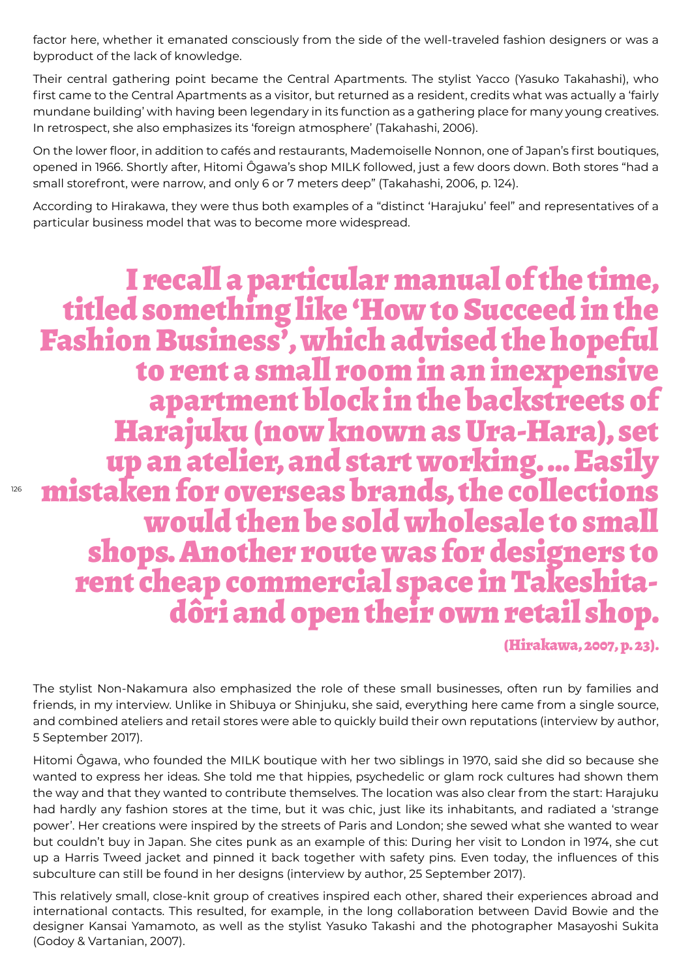factor here, whether it emanated consciously from the side of the well-traveled fashion designers or was a byproduct of the lack of knowledge.

Their central gathering point became the Central Apartments. The stylist Yacco (Yasuko Takahashi), who first came to the Central Apartments as a visitor, but returned as a resident, credits what was actually a 'fairly mundane building' with having been legendary in its function as a gathering place for many young creatives. In retrospect, she also emphasizes its 'foreign atmosphere' (Takahashi, 2006).

On the lower floor, in addition to cafés and restaurants, Mademoiselle Nonnon, one of Japan's first boutiques, opened in 1966. Shortly after, Hitomi Ôgawa's shop MILK followed, just a few doors down. Both stores "had a small storefront, were narrow, and only 6 or 7 meters deep" (Takahashi, 2006, p. 124).

According to Hirakawa, they were thus both examples of a "distinct 'Harajuku' feel" and representatives of a particular business model that was to become more widespread.

I recall a particular manual of the time, titled something like 'How to Succeed in the Fashion Business', which advised the hopeful to rent a small room in an inexpensive Harajuku (now known as Ura-Hara), set<br>up an atelier, and start working.... Easily mistaken for overseas brands, the collections would then be sold wholesale to small shops. Another route was for designers to rent cheap commercial space in Takeshita- dôri and open their own retail shop.

(Hirakawa, 2007, p. 23).

The stylist Non-Nakamura also emphasized the role of these small businesses, often run by families and friends, in my interview. Unlike in Shibuya or Shinjuku, she said, everything here came from a single source, and combined ateliers and retail stores were able to quickly build their own reputations (interview by author, 5 September 2017).

Hitomi Ôgawa, who founded the MILK boutique with her two siblings in 1970, said she did so because she wanted to express her ideas. She told me that hippies, psychedelic or glam rock cultures had shown them the way and that they wanted to contribute themselves. The location was also clear from the start: Harajuku had hardly any fashion stores at the time, but it was chic, just like its inhabitants, and radiated a 'strange power'. Her creations were inspired by the streets of Paris and London; she sewed what she wanted to wear but couldn't buy in Japan. She cites punk as an example of this: During her visit to London in 1974, she cut up a Harris Tweed jacket and pinned it back together with safety pins. Even today, the influences of this subculture can still be found in her designs (interview by author, 25 September 2017).

This relatively small, close-knit group of creatives inspired each other, shared their experiences abroad and international contacts. This resulted, for example, in the long collaboration between David Bowie and the designer Kansai Yamamoto, as well as the stylist Yasuko Takashi and the photographer Masayoshi Sukita (Godoy & Vartanian, 2007).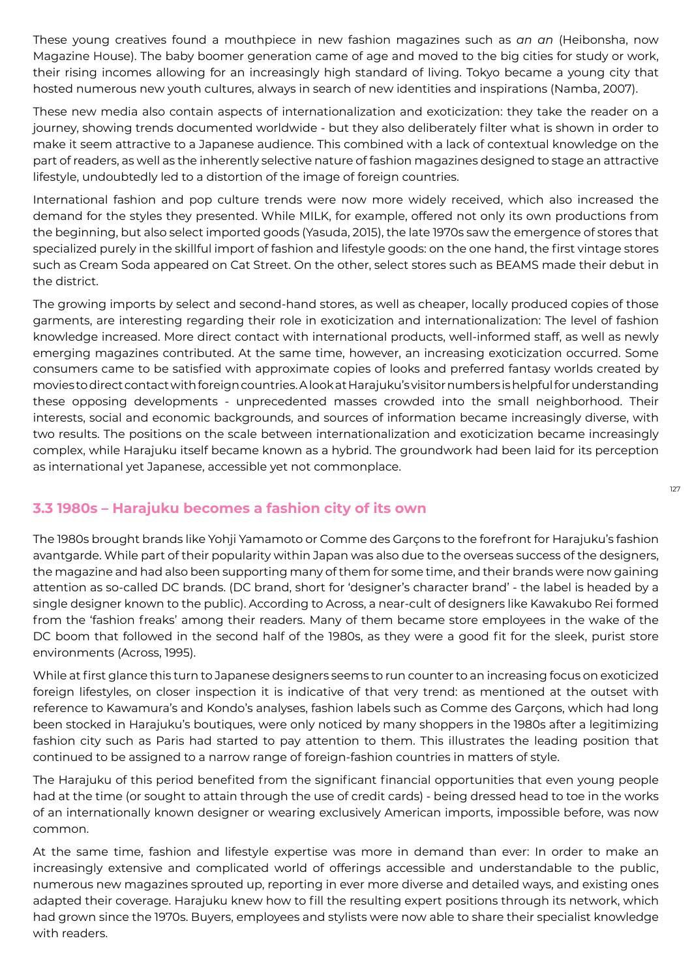These young creatives found a mouthpiece in new fashion magazines such as *an an* (Heibonsha, now Magazine House). The baby boomer generation came of age and moved to the big cities for study or work, their rising incomes allowing for an increasingly high standard of living. Tokyo became a young city that hosted numerous new youth cultures, always in search of new identities and inspirations (Namba, 2007).

These new media also contain aspects of internationalization and exoticization: they take the reader on a journey, showing trends documented worldwide - but they also deliberately filter what is shown in order to make it seem attractive to a Japanese audience. This combined with a lack of contextual knowledge on the part of readers, as well as the inherently selective nature of fashion magazines designed to stage an attractive lifestyle, undoubtedly led to a distortion of the image of foreign countries.

International fashion and pop culture trends were now more widely received, which also increased the demand for the styles they presented. While MILK, for example, offered not only its own productions from the beginning, but also select imported goods (Yasuda, 2015), the late 1970s saw the emergence of stores that specialized purely in the skillful import of fashion and lifestyle goods: on the one hand, the first vintage stores such as Cream Soda appeared on Cat Street. On the other, select stores such as BEAMS made their debut in the district.

The growing imports by select and second-hand stores, as well as cheaper, locally produced copies of those garments, are interesting regarding their role in exoticization and internationalization: The level of fashion knowledge increased. More direct contact with international products, well-informed staff, as well as newly emerging magazines contributed. At the same time, however, an increasing exoticization occurred. Some consumers came to be satisfied with approximate copies of looks and preferred fantasy worlds created by movies to direct contact with foreign countries. A look at Harajuku's visitor numbers is helpful for understanding these opposing developments - unprecedented masses crowded into the small neighborhood. Their interests, social and economic backgrounds, and sources of information became increasingly diverse, with two results. The positions on the scale between internationalization and exoticization became increasingly complex, while Harajuku itself became known as a hybrid. The groundwork had been laid for its perception as international yet Japanese, accessible yet not commonplace.

### **3.3 1980s – Harajuku becomes a fashion city of its own**

The 1980s brought brands like Yohji Yamamoto or Comme des Garçons to the forefront for Harajuku's fashion avantgarde. While part of their popularity within Japan was also due to the overseas success of the designers, the magazine and had also been supporting many of them for some time, and their brands were now gaining attention as so-called DC brands. (DC brand, short for 'designer's character brand' - the label is headed by a single designer known to the public). According to Across, a near-cult of designers like Kawakubo Rei formed from the 'fashion freaks' among their readers. Many of them became store employees in the wake of the DC boom that followed in the second half of the 1980s, as they were a good fit for the sleek, purist store environments (Across, 1995).

While at first glance this turn to Japanese designers seems to run counter to an increasing focus on exoticized foreign lifestyles, on closer inspection it is indicative of that very trend: as mentioned at the outset with reference to Kawamura's and Kondo's analyses, fashion labels such as Comme des Garçons, which had long been stocked in Harajuku's boutiques, were only noticed by many shoppers in the 1980s after a legitimizing fashion city such as Paris had started to pay attention to them. This illustrates the leading position that continued to be assigned to a narrow range of foreign-fashion countries in matters of style.

The Harajuku of this period benefited from the significant financial opportunities that even young people had at the time (or sought to attain through the use of credit cards) - being dressed head to toe in the works of an internationally known designer or wearing exclusively American imports, impossible before, was now common.

At the same time, fashion and lifestyle expertise was more in demand than ever: In order to make an increasingly extensive and complicated world of offerings accessible and understandable to the public, numerous new magazines sprouted up, reporting in ever more diverse and detailed ways, and existing ones adapted their coverage. Harajuku knew how to fill the resulting expert positions through its network, which had grown since the 1970s. Buyers, employees and stylists were now able to share their specialist knowledge with readers.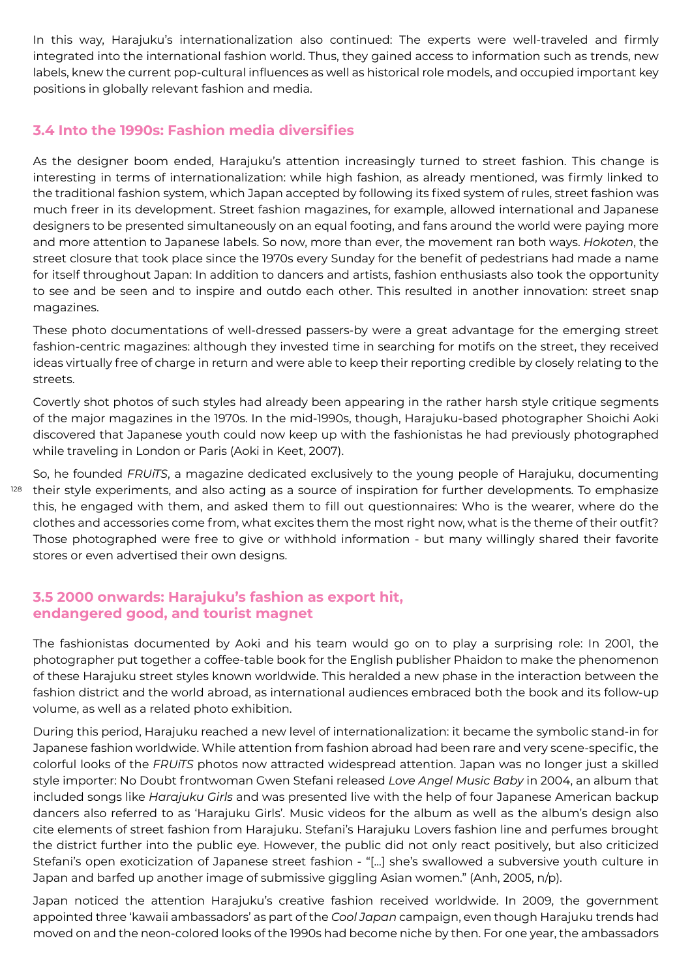In this way, Harajuku's internationalization also continued: The experts were well-traveled and firmly integrated into the international fashion world. Thus, they gained access to information such as trends, new labels, knew the current pop-cultural influences as well as historical role models, and occupied important key positions in globally relevant fashion and media.

### **3.4 Into the 1990s: Fashion media diversifies**

As the designer boom ended, Harajuku's attention increasingly turned to street fashion. This change is interesting in terms of internationalization: while high fashion, as already mentioned, was firmly linked to the traditional fashion system, which Japan accepted by following its fixed system of rules, street fashion was much freer in its development. Street fashion magazines, for example, allowed international and Japanese designers to be presented simultaneously on an equal footing, and fans around the world were paying more and more attention to Japanese labels. So now, more than ever, the movement ran both ways. *Hokoten*, the street closure that took place since the 1970s every Sunday for the benefit of pedestrians had made a name for itself throughout Japan: In addition to dancers and artists, fashion enthusiasts also took the opportunity to see and be seen and to inspire and outdo each other. This resulted in another innovation: street snap magazines.

These photo documentations of well-dressed passers-by were a great advantage for the emerging street fashion-centric magazines: although they invested time in searching for motifs on the street, they received ideas virtually free of charge in return and were able to keep their reporting credible by closely relating to the streets.

Covertly shot photos of such styles had already been appearing in the rather harsh style critique segments of the major magazines in the 1970s. In the mid-1990s, though, Harajuku-based photographer Shoichi Aoki discovered that Japanese youth could now keep up with the fashionistas he had previously photographed while traveling in London or Paris (Aoki in Keet, 2007).

<sup>128</sup> their style experiments, and also acting as a source of inspiration for further developments. To emphasize So, he founded *FRUiTS*, a magazine dedicated exclusively to the young people of Harajuku, documenting this, he engaged with them, and asked them to fill out questionnaires: Who is the wearer, where do the clothes and accessories come from, what excites them the most right now, what is the theme of their outfit? Those photographed were free to give or withhold information - but many willingly shared their favorite stores or even advertised their own designs.

#### **3.5 2000 onwards: Harajuku's fashion as export hit, endangered good, and tourist magnet**

The fashionistas documented by Aoki and his team would go on to play a surprising role: In 2001, the photographer put together a coffee-table book for the English publisher Phaidon to make the phenomenon of these Harajuku street styles known worldwide. This heralded a new phase in the interaction between the fashion district and the world abroad, as international audiences embraced both the book and its follow-up volume, as well as a related photo exhibition.

During this period, Harajuku reached a new level of internationalization: it became the symbolic stand-in for Japanese fashion worldwide. While attention from fashion abroad had been rare and very scene-specific, the colorful looks of the *FRUiTS* photos now attracted widespread attention. Japan was no longer just a skilled style importer: No Doubt frontwoman Gwen Stefani released *Love Angel Music Baby* in 2004, an album that included songs like *Harajuku Girls* and was presented live with the help of four Japanese American backup dancers also referred to as 'Harajuku Girls'. Music videos for the album as well as the album's design also cite elements of street fashion from Harajuku. Stefani's Harajuku Lovers fashion line and perfumes brought the district further into the public eye. However, the public did not only react positively, but also criticized Stefani's open exoticization of Japanese street fashion - "[...] she's swallowed a subversive youth culture in Japan and barfed up another image of submissive giggling Asian women." (Anh, 2005, n/p).

Japan noticed the attention Harajuku's creative fashion received worldwide. In 2009, the government appointed three 'kawaii ambassadors' as part of the *Cool Japan* campaign, even though Harajuku trends had moved on and the neon-colored looks of the 1990s had become niche by then. For one year, the ambassadors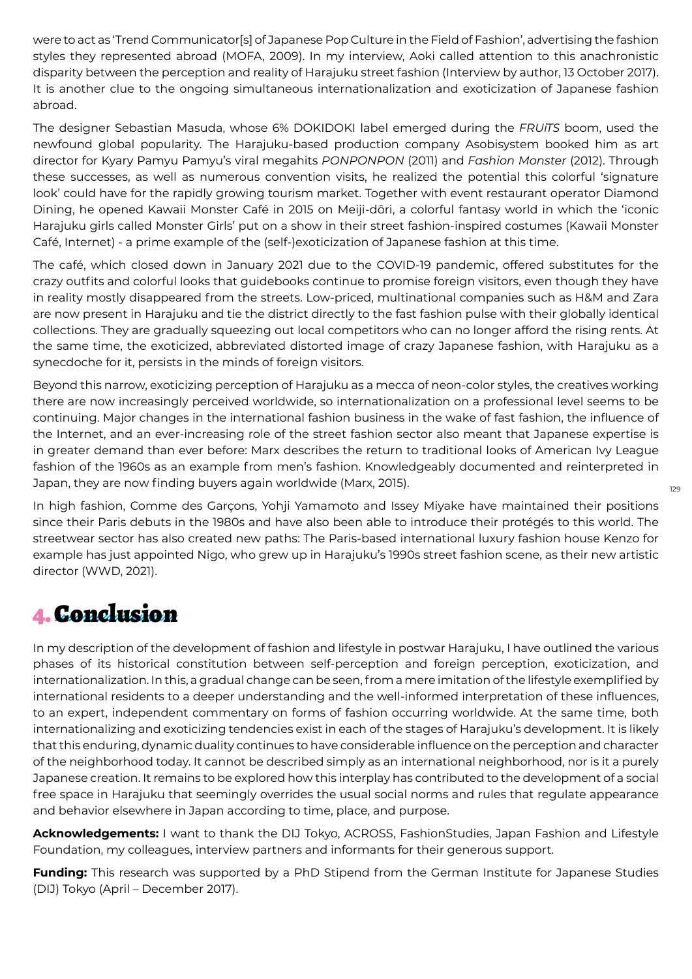were to act as 'Trend Communicator[s] of Japanese Pop Culture in the Field of Fashion', advertising the fashion styles they represented abroad (MOFA, 2009). In my interview, Aoki called attention to this anachronistic disparity between the perception and reality of Harajuku street fashion (Interview by author, 13 October 2017). It is another clue to the ongoing simultaneous internationalization and exoticization of Japanese fashion abroad.

The designer Sebastian Masuda, whose 6% DOKIDOKI label emerged during the *FRUiTS* boom, used the newfound global popularity. The Harajuku-based production company Asobisystem booked him as art director for Kyary Pamyu Pamyu's viral megahits *PONPONPON* (2011) and *Fashion Monster* (2012). Through these successes, as well as numerous convention visits, he realized the potential this colorful 'signature look' could have for the rapidly growing tourism market. Together with event restaurant operator Diamond Dining, he opened Kawaii Monster Café in 2015 on Meiji-dôri, a colorful fantasy world in which the 'iconic Harajuku girls called Monster Girls' put on a show in their street fashion-inspired costumes (Kawaii Monster Café, Internet) - a prime example of the (self-)exoticization of Japanese fashion at this time.

The café, which closed down in January 2021 due to the COVID-19 pandemic, offered substitutes for the crazy outfits and colorful looks that guidebooks continue to promise foreign visitors, even though they have in reality mostly disappeared from the streets. Low-priced, multinational companies such as H&M and Zara are now present in Harajuku and tie the district directly to the fast fashion pulse with their globally identical collections. They are gradually squeezing out local competitors who can no longer afford the rising rents. At the same time, the exoticized, abbreviated distorted image of crazy Japanese fashion, with Harajuku as a synecdoche for it, persists in the minds of foreign visitors.

Beyond this narrow, exoticizing perception of Harajuku as a mecca of neon-color styles, the creatives working there are now increasingly perceived worldwide, so internationalization on a professional level seems to be continuing. Major changes in the international fashion business in the wake of fast fashion, the influence of the Internet, and an ever-increasing role of the street fashion sector also meant that Japanese expertise is in greater demand than ever before: Marx describes the return to traditional looks of American Ivy League fashion of the 1960s as an example from men's fashion. Knowledgeably documented and reinterpreted in Japan, they are now finding buyers again worldwide (Marx, 2015).

In high fashion, Comme des Garçons, Yohji Yamamoto and Issey Miyake have maintained their positions since their Paris debuts in the 1980s and have also been able to introduce their protégés to this world. The streetwear sector has also created new paths: The Paris-based international luxury fashion house Kenzo for example has just appointed Nigo, who grew up in Harajuku's 1990s street fashion scene, as their new artistic director (WWD, 2021).

# 4. Conclusion

In my description of the development of fashion and lifestyle in postwar Harajuku, I have outlined the various phases of its historical constitution between self-perception and foreign perception, exoticization, and internationalization. In this, a gradual change can be seen, from a mere imitation of the lifestyle exemplified by international residents to a deeper understanding and the well-informed interpretation of these influences, to an expert, independent commentary on forms of fashion occurring worldwide. At the same time, both internationalizing and exoticizing tendencies exist in each of the stages of Harajuku's development. It is likely that this enduring, dynamic duality continues to have considerable influence on the perception and character of the neighborhood today. It cannot be described simply as an international neighborhood, nor is it a purely Japanese creation. It remains to be explored how this interplay has contributed to the development of a social free space in Harajuku that seemingly overrides the usual social norms and rules that regulate appearance and behavior elsewhere in Japan according to time, place, and purpose.

Acknowledgements: I want to thank the DIJ Tokyo, ACROSS, FashionStudies, Japan Fashion and Lifestyle Foundation, my colleagues, interview partners and informants for their generous support.

**Funding:** This research was supported by a PhD Stipend from the German Institute for Japanese Studies (DIJ) Tokyo (April – December 2017).